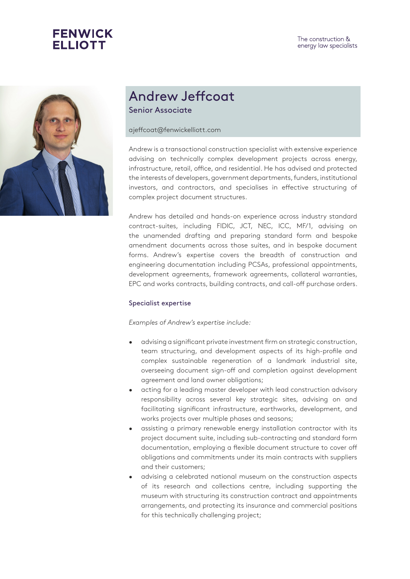



## Andrew Jeffcoat Senior Associate

ajeffcoat@fenwickelliott.com

Andrew is a transactional construction specialist with extensive experience advising on technically complex development projects across energy, infrastructure, retail, office, and residential. He has advised and protected the interests of developers, government departments, funders, institutional investors, and contractors, and specialises in effective structuring of complex project document structures.

Andrew has detailed and hands-on experience across industry standard contract-suites, including FIDIC, JCT, NEC, ICC, MF/1, advising on the unamended drafting and preparing standard form and bespoke amendment documents across those suites, and in bespoke document forms. Andrew's expertise covers the breadth of construction and engineering documentation including PCSAs, professional appointments, development agreements, framework agreements, collateral warranties, EPC and works contracts, building contracts, and call-off purchase orders.

## Specialist expertise

*Examples of Andrew's expertise include:*

- advising a significant private investment firm on strategic construction, team structuring, and development aspects of its high-profile and complex sustainable regeneration of a landmark industrial site, overseeing document sign-off and completion against development agreement and land owner obligations;
- acting for a leading master developer with lead construction advisory responsibility across several key strategic sites, advising on and facilitating significant infrastructure, earthworks, development, and works projects over multiple phases and seasons;
- assisting a primary renewable energy installation contractor with its project document suite, including sub-contracting and standard form documentation, employing a flexible document structure to cover off obligations and commitments under its main contracts with suppliers and their customers;
- advising a celebrated national museum on the construction aspects of its research and collections centre, including supporting the museum with structuring its construction contract and appointments arrangements, and protecting its insurance and commercial positions for this technically challenging project;